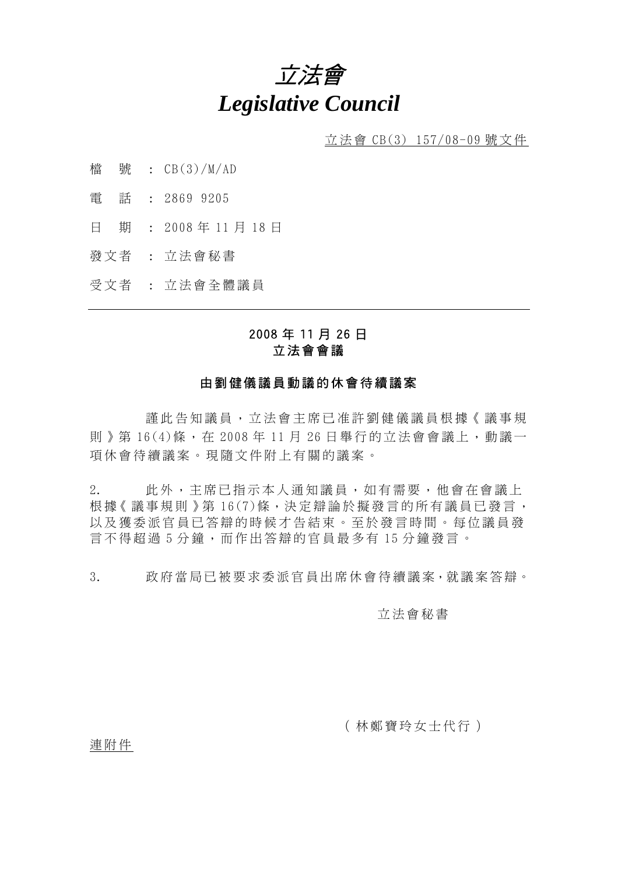

立法會 CB(3) 157/08-09 號文件

- 檔 號 : CB(3)/M/AD
- 電 話 : 2869 9205
- 日 期 : 2008 年 11 月 18 日
- 發文者 : 立法會秘書
- 受文者 : 立法會全體議員

## 2008 年 11 月 26 日 立法會會議

## 由劉健儀議員動議的休會待續議案

護此告知議員,立法會主席已准許劉健儀議員根據《議事規 則》第 16(4)條,在 2008 年 11 月 26 日舉行的 立法會會議上,動議一 項休會待續議案。現隨文件附上有關的議案。

2. 此外,主席已指示本人通知議員,如有需要,他會在會議上 根 據《議事規則》第16(7)條,決 定 辯論於 擬 發 言 的 所 有 議 員 已 發 言, 以及獲委派官員已答辯的時候才告結束 。至於發言時間。每位議員發 言不得超過 5 分鐘,而作出答辯的官員最多有 15 分鐘發言。

3. 政 府當局已被要求委派官員出席休會待續議案,就議案答辯。

立法會秘書

(林鄭寶玲女士代行)

連附件